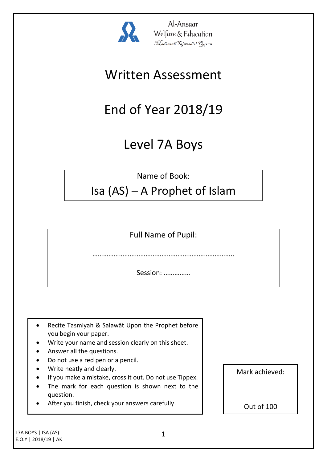

Al-Ansaar Welfare & Education<br>*Madrasah Tajweedul Guran* 

## Written Assessment

# End of Year 2018/19

## Level 7A Boys

Name of Book:

### Isa (AS) – A Prophet of Islam

Full Name of Pupil:

……………………………………………………………………..

Session: ……………

- Recite Tasmiyah & Şalawāt Upon the Prophet before you begin your paper.
- Write your name and session clearly on this sheet.
- Answer all the questions.
- Do not use a red pen or a pencil.
- Write neatly and clearly.
- If you make a mistake, cross it out. Do not use Tippex.
- The mark for each question is shown next to the question.
- After you finish, check your answers carefully.

Mark achieved:

Out of 100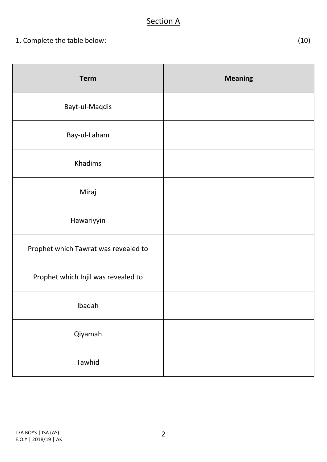### **Section A**

| <b>Term</b>                          | <b>Meaning</b> |
|--------------------------------------|----------------|
| Bayt-ul-Maqdis                       |                |
| Bay-ul-Laham                         |                |
| Khadims                              |                |
| Miraj                                |                |
| Hawariyyin                           |                |
| Prophet which Tawrat was revealed to |                |
| Prophet which Injil was revealed to  |                |
| Ibadah                               |                |
| Qiyamah                              |                |
| Tawhid                               |                |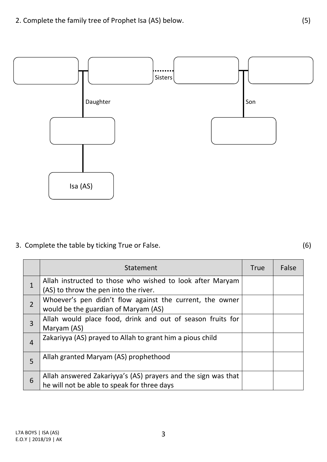

3. Complete the table by ticking True or False. (6)

|                | Statement                                                                                                    | <b>True</b> | False |
|----------------|--------------------------------------------------------------------------------------------------------------|-------------|-------|
| $\overline{1}$ | Allah instructed to those who wished to look after Maryam<br>(AS) to throw the pen into the river.           |             |       |
| $\overline{2}$ | Whoever's pen didn't flow against the current, the owner<br>would be the guardian of Maryam (AS)             |             |       |
| 3              | Allah would place food, drink and out of season fruits for<br>Maryam (AS)                                    |             |       |
| $\overline{4}$ | Zakariyya (AS) prayed to Allah to grant him a pious child                                                    |             |       |
| 5              | Allah granted Maryam (AS) prophethood                                                                        |             |       |
| 6              | Allah answered Zakariyya's (AS) prayers and the sign was that<br>he will not be able to speak for three days |             |       |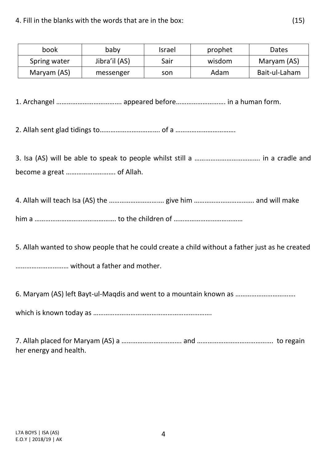4. Fill in the blanks with the words that are in the box: (15)

| book         | baby          | Israel | prophet | Dates         |
|--------------|---------------|--------|---------|---------------|
| Spring water | Jibra'il (AS) | Sair   | wisdom  | Maryam (AS)   |
| Maryam (AS)  | messenger     | son    | Adam    | Bait-ul-Laham |

1. Archangel ………………………………. appeared before………………………. in a human form.

2. Allah sent glad tidings to……………………………. of a …………………………….

3. Isa (AS) will be able to speak to people whilst still a ………………………………. in a cradle and become a great ………………………. of Allah.

4. Allah will teach Isa (AS) the …………………………. give him ……………………………. and will make him a ………………………………………. to the children of …………………………………

5. Allah wanted to show people that he could create a child without a father just as he created

………………………… without a father and mother.

6. Maryam (AS) left Bayt-ul-Maqdis and went to a mountain known as …………………………….

which is known today as ………………………………………………………….

7. Allah placed for Maryam (AS) a ……………………………. and ……………………………………. to regain her energy and health.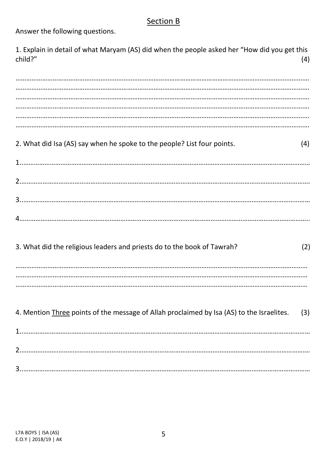### **Section B**

Answer the following questions.

1. Explain in detail of what Maryam (AS) did when the people asked her "How did you get this child?"  $(4)$ 

| 2. What did Isa (AS) say when he spoke to the people? List four points.<br>(4)                   |  |
|--------------------------------------------------------------------------------------------------|--|
|                                                                                                  |  |
|                                                                                                  |  |
|                                                                                                  |  |
| 3. What did the religious leaders and priests do to the book of Tawrah?<br>(2)                   |  |
|                                                                                                  |  |
| 4. Mention Three points of the message of Allah proclaimed by Isa (AS) to the Israelites.<br>(3) |  |
|                                                                                                  |  |
|                                                                                                  |  |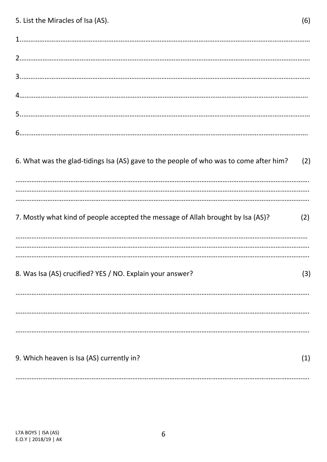| 5. List the Miracles of Isa (AS).                                                      | (6) |
|----------------------------------------------------------------------------------------|-----|
|                                                                                        |     |
|                                                                                        |     |
|                                                                                        |     |
|                                                                                        |     |
|                                                                                        |     |
|                                                                                        |     |
| 6. What was the glad-tidings Isa (AS) gave to the people of who was to come after him? | (2) |
| 7. Mostly what kind of people accepted the message of Allah brought by Isa (AS)?       | (2) |
| 8. Was Isa (AS) crucified? YES / NO. Explain your answer?                              | (3) |
|                                                                                        |     |
| 9. Which heaven is Isa (AS) currently in?                                              | (1) |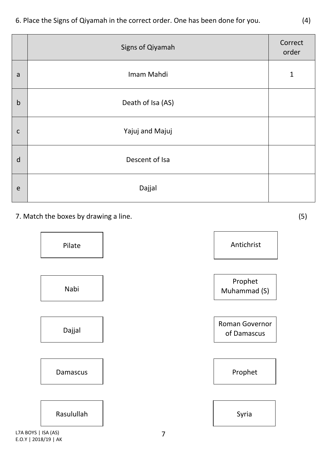|             | Signs of Qiyamah  | Correct<br>order |
|-------------|-------------------|------------------|
| a           | Imam Mahdi        | $\mathbf{1}$     |
| $\mathsf b$ | Death of Isa (AS) |                  |
| $\mathsf C$ | Yajuj and Majuj   |                  |
| d           | Descent of Isa    |                  |
| e           | Dajjal            |                  |

7. Match the boxes by drawing a line. (5)



L7A BOYS | ISA (AS) E.O.Y | 2018/19 | AK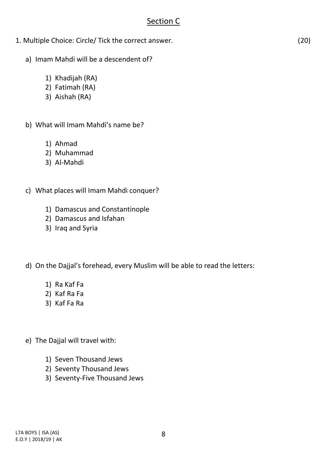#### Section C

- 1. Multiple Choice: Circle/ Tick the correct answer. (20)
	- a) Imam Mahdi will be a descendent of?
		- 1) Khadijah (RA)
		- 2) Fatimah (RA)
		- 3) Aishah (RA)
	- b) What will Imam Mahdi's name be?
		- 1) Ahmad
		- 2) Muhammad
		- 3) Al-Mahdi
	- c) What places will Imam Mahdi conquer?
		- 1) Damascus and Constantinople
		- 2) Damascus and Isfahan
		- 3) Iraq and Syria
	- d) On the Dajjal's forehead, every Muslim will be able to read the letters:
		- 1) Ra Kaf Fa
		- 2) Kaf Ra Fa
		- 3) Kaf Fa Ra
	- e) The Dajjal will travel with:
		- 1) Seven Thousand Jews
		- 2) Seventy Thousand Jews
		- 3) Seventy-Five Thousand Jews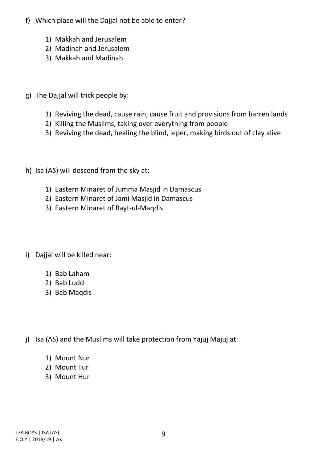- f) Which place will the Dajjal not be able to enter?
	- 1) Makkah and Jerusalem
	- 2) Madinah and Jerusalem
	- 3) Makkah and Madinah
- g) The Dajjal will trick people by:
	- 1) Reviving the dead, cause rain, cause fruit and provisions from barren lands
	- 2) Killing the Muslims, taking over everything from people
	- 3) Reviving the dead, healing the blind, leper, making birds out of clay alive
- h) Isa (AS) will descend from the sky at:
	- 1) Eastern Minaret of Jumma Masjid in Damascus
	- 2) Eastern Minaret of Jami Masjid in Damascus
	- 3) Eastern Minaret of Bayt-ul-Maqdis
- i) Dajjal will be killed near:
	- 1) Bab Laham
	- 2) Bab Ludd
	- 3) Bab Maqdis
- j) Isa (AS) and the Muslims will take protection from Yajuj Majuj at:
	- 1) Mount Nur
	- 2) Mount Tur
	- 3) Mount Hur